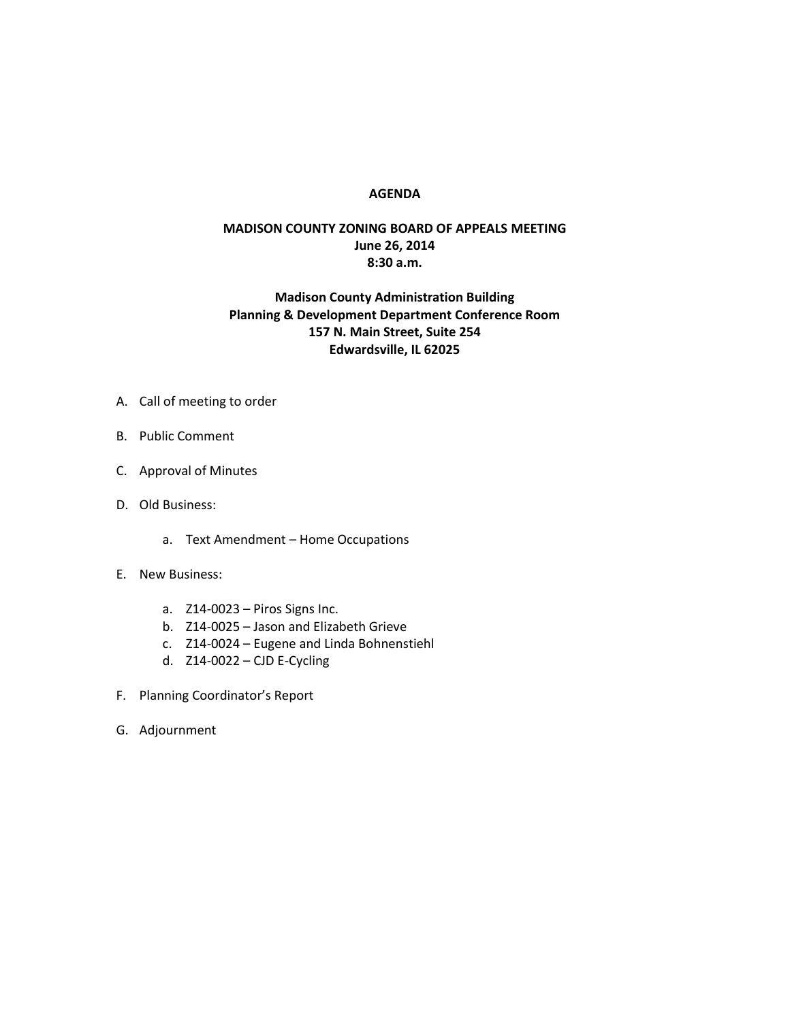## **AGENDA**

## **MADISON COUNTY ZONING BOARD OF APPEALS MEETING June 26, 2014 8:30 a.m.**

## **Madison County Administration Building Planning & Development Department Conference Room 157 N. Main Street, Suite 254 Edwardsville, IL 62025**

- A. Call of meeting to order
- B. Public Comment
- C. Approval of Minutes
- D. Old Business:
	- a. Text Amendment Home Occupations
- E. New Business:
	- a. Z14-0023 Piros Signs Inc.
	- b. Z14-0025 Jason and Elizabeth Grieve
	- c. Z14-0024 Eugene and Linda Bohnenstiehl
	- d. Z14-0022 CJD E-Cycling
- F. Planning Coordinator's Report
- G. Adjournment